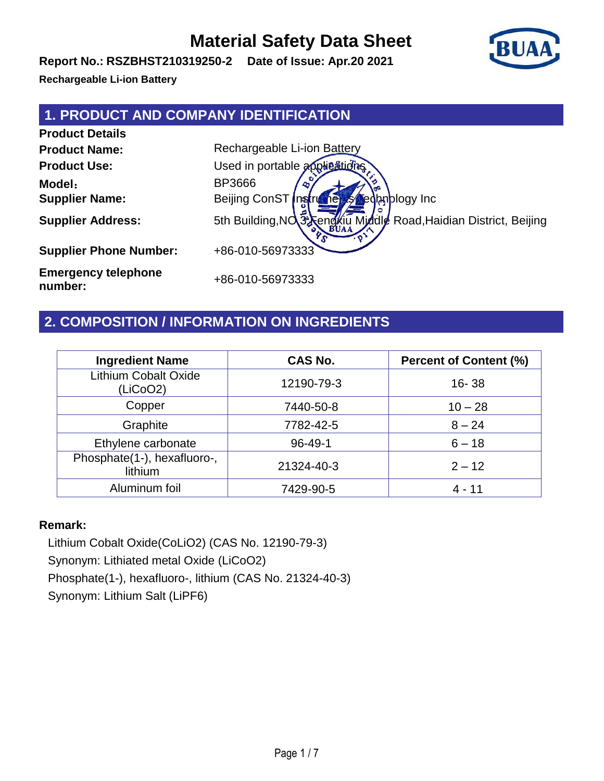**Report No.: RSZBHST210319250-2 Date of Issue: Apr.20 2021**

**Rechargeable Li-ion Battery**

#### **1. PRODUCT AND COMPANY IDENTIFICATION**

**Product Details Product Name:** Rechargeable Li-ion Battery **Product Use:** Used in portable applications **Model**: BP3666 **Supplier Name:** Beijing ConST Instruments Technology Inc **Supplier Address:** 5th Building,NO.3 Fengxiu Middle Road,Haidian District, Beijing **Supplier Phone Number:** +86-010-56973333 **Emergency telephone** 

+86-010-56973333

#### **2. COMPOSITION / INFORMATION ON INGREDIENTS**

| <b>Ingredient Name</b>                  | <b>CAS No.</b> | <b>Percent of Content (%)</b> |
|-----------------------------------------|----------------|-------------------------------|
| <b>Lithium Cobalt Oxide</b><br>(LiCoO2) | 12190-79-3     | $16 - 38$                     |
| Copper                                  | 7440-50-8      | $10 - 28$                     |
| Graphite                                | 7782-42-5      | $8 - 24$                      |
| Ethylene carbonate                      | $96 - 49 - 1$  | $6 - 18$                      |
| Phosphate(1-), hexafluoro-,<br>lithium  | 21324-40-3     | $2 - 12$                      |
| Aluminum foil                           | 7429-90-5      | 4 - 11                        |

#### **Remark:**

**number:**

Lithium Cobalt Oxide(CoLiO2) (CAS No. 12190-79-3) Synonym: Lithiated metal Oxide (LiCoO2) Phosphate(1-), hexafluoro-, lithium (CAS No. 21324-40-3) Synonym: Lithium Salt (LiPF6)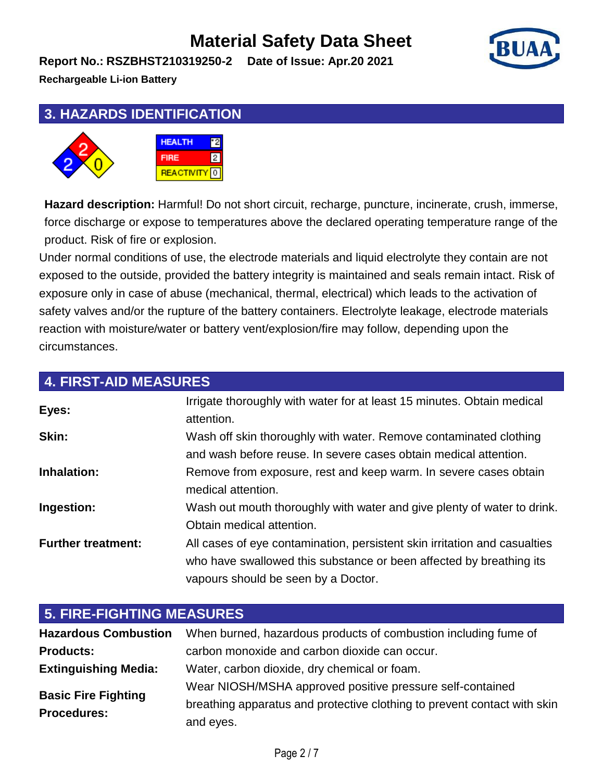**Report No.: RSZBHST210319250-2 Date of Issue: Apr.20 2021**

**Rechargeable Li-ion Battery**

## **3. HAZARDS IDENTIFICATION**



**Hazard description:** Harmful! Do not short circuit, recharge, puncture, incinerate, crush, immerse, force discharge or expose to temperatures above the declared operating temperature range of the product. Risk of fire or explosion.

Under normal conditions of use, the electrode materials and liquid electrolyte they contain are not exposed to the outside, provided the battery integrity is maintained and seals remain intact. Risk of exposure only in case of abuse (mechanical, thermal, electrical) which leads to the activation of safety valves and/or the rupture of the battery containers. Electrolyte leakage, electrode materials reaction with moisture/water or battery vent/explosion/fire may follow, depending upon the circumstances.

| <b>4. FIRST-AID MEASURES</b> |                                                                                                                                                                                         |  |
|------------------------------|-----------------------------------------------------------------------------------------------------------------------------------------------------------------------------------------|--|
| Eyes:                        | Irrigate thoroughly with water for at least 15 minutes. Obtain medical<br>attention.                                                                                                    |  |
| Skin:                        | Wash off skin thoroughly with water. Remove contaminated clothing<br>and wash before reuse. In severe cases obtain medical attention.                                                   |  |
| Inhalation:                  | Remove from exposure, rest and keep warm. In severe cases obtain<br>medical attention.                                                                                                  |  |
| Ingestion:                   | Wash out mouth thoroughly with water and give plenty of water to drink.<br>Obtain medical attention.                                                                                    |  |
| <b>Further treatment:</b>    | All cases of eye contamination, persistent skin irritation and casualties<br>who have swallowed this substance or been affected by breathing its<br>vapours should be seen by a Doctor. |  |

| <b>5. FIRE-FIGHTING MEASURES</b> |                                                                          |  |
|----------------------------------|--------------------------------------------------------------------------|--|
| <b>Hazardous Combustion</b>      | When burned, hazardous products of combustion including fume of          |  |
| <b>Products:</b>                 | carbon monoxide and carbon dioxide can occur.                            |  |
| <b>Extinguishing Media:</b>      | Water, carbon dioxide, dry chemical or foam.                             |  |
| <b>Basic Fire Fighting</b>       | Wear NIOSH/MSHA approved positive pressure self-contained                |  |
| <b>Procedures:</b>               | breathing apparatus and protective clothing to prevent contact with skin |  |
|                                  | and eyes.                                                                |  |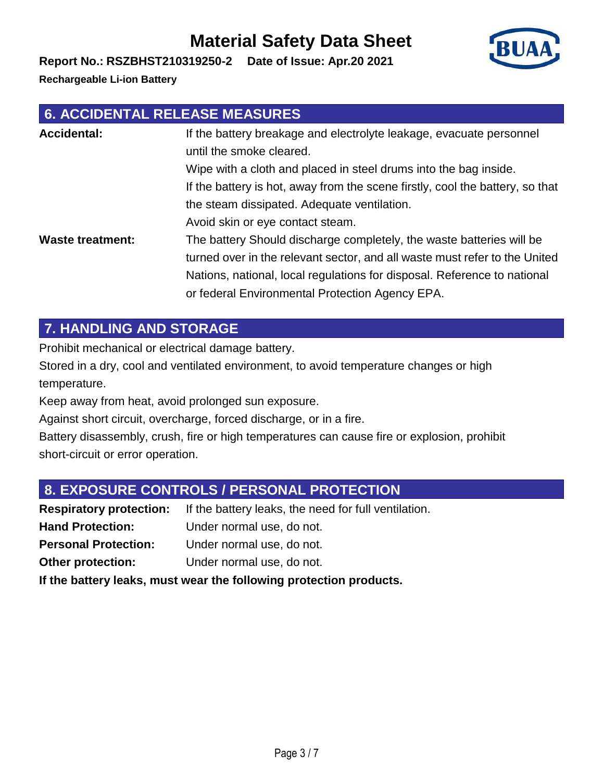#### Avoid skin or eye contact steam. **Waste treatment:** The battery Should discharge completely, the waste batteries will be turned over in the relevant sector, and all waste must refer to the United Nations, national, local regulations for disposal. Reference to national or federal Environmental Protection Agency EPA.

the steam dissipated. Adequate ventilation.

Wipe with a cloth and placed in steel drums into the bag inside.

If the battery is hot, away from the scene firstly, cool the battery, so that

## **7. HANDLING AND STORAGE**

Prohibit mechanical or electrical damage battery.

**6. ACCIDENTAL RELEASE MEASURES**

Stored in a dry, cool and ventilated environment, to avoid temperature changes or high temperature.

Keep away from heat, avoid prolonged sun exposure.

Against short circuit, overcharge, forced discharge, or in a fire.

Battery disassembly, crush, fire or high temperatures can cause fire or explosion, prohibit short-circuit or error operation.

#### **8. EXPOSURE CONTROLS / PERSONAL PROTECTION**

**Respiratory protection:** If the battery leaks, the need for full ventilation. **Hand Protection:** Under normal use, do not. **Personal Protection:** Under normal use, do not. **Other protection:** Under normal use, do not. **If the battery leaks, must wear the following protection products.**

# **Material Safety Data Sheet**

Accidental: If the battery breakage and electrolyte leakage, evacuate personnel

until the smoke cleared.

**Report No.: RSZBHST210319250-2 Date of Issue: Apr.20 2021**

**Rechargeable Li-ion Battery**

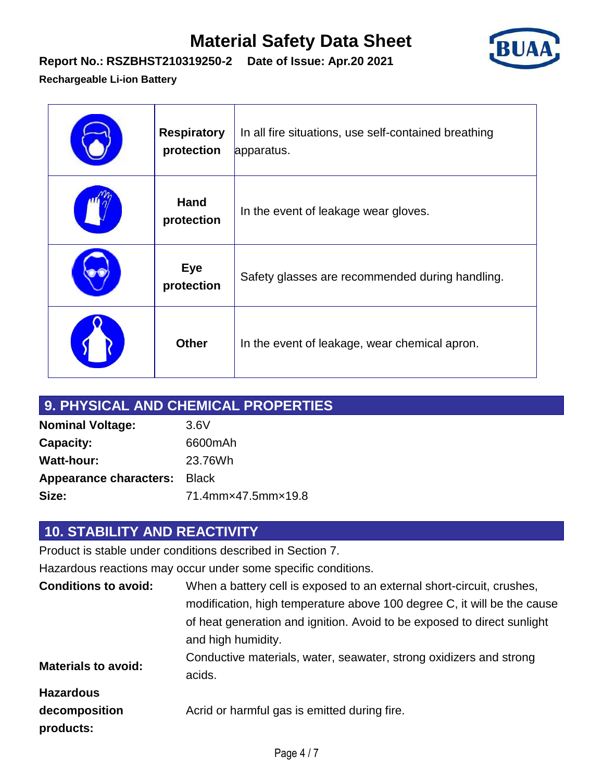

#### **Report No.: RSZBHST210319250-2 Date of Issue: Apr.20 2021**

#### **Rechargeable Li-ion Battery**

| <b>Respiratory</b><br>protection | In all fire situations, use self-contained breathing<br>apparatus. |
|----------------------------------|--------------------------------------------------------------------|
| <b>Hand</b><br>protection        | In the event of leakage wear gloves.                               |
| <b>Eye</b><br>protection         | Safety glasses are recommended during handling.                    |
| <b>Other</b>                     | In the event of leakage, wear chemical apron.                      |

| 9. PHYSICAL AND CHEMICAL PROPERTIES |                    |  |
|-------------------------------------|--------------------|--|
| <b>Nominal Voltage:</b>             | 3.6V               |  |
| <b>Capacity:</b>                    | 6600mAh            |  |
| <b>Watt-hour:</b>                   | 23.76Wh            |  |
| <b>Appearance characters: Black</b> |                    |  |
| Size:                               | 71.4mm×47.5mm×19.8 |  |

## **10. STABILITY AND REACTIVITY**

Product is stable under conditions described in Section 7.

Hazardous reactions may occur under some specific conditions.

| <b>Conditions to avoid:</b> | When a battery cell is exposed to an external short-circuit, crushes,                         |
|-----------------------------|-----------------------------------------------------------------------------------------------|
|                             | modification, high temperature above 100 degree C, it will be the cause                       |
|                             | of heat generation and ignition. Avoid to be exposed to direct sunlight<br>and high humidity. |
| <b>Materials to avoid:</b>  | Conductive materials, water, seawater, strong oxidizers and strong<br>acids.                  |
| <b>Hazardous</b>            |                                                                                               |
| decomposition<br>products:  | Acrid or harmful gas is emitted during fire.                                                  |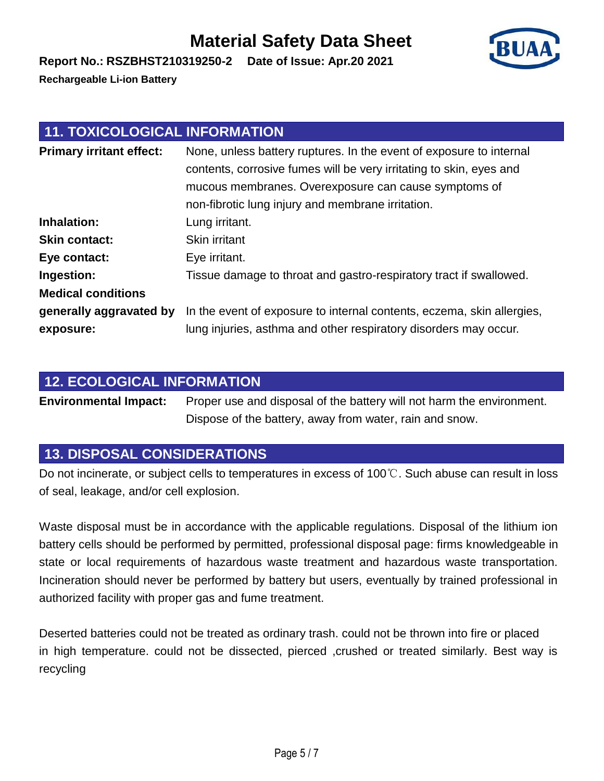**Rechargeable Li-ion Battery**

## **11. TOXICOLOGICAL INFORMATION**

**Report No.: RSZBHST210319250-2 Date of Issue: Apr.20 2021**

| <b>Primary irritant effect:</b> | None, unless battery ruptures. In the event of exposure to internal<br>contents, corrosive fumes will be very irritating to skin, eyes and<br>mucous membranes. Overexposure can cause symptoms of<br>non-fibrotic lung injury and membrane irritation. |
|---------------------------------|---------------------------------------------------------------------------------------------------------------------------------------------------------------------------------------------------------------------------------------------------------|
| Inhalation:                     | Lung irritant.                                                                                                                                                                                                                                          |
| <b>Skin contact:</b>            | Skin irritant                                                                                                                                                                                                                                           |
| Eye contact:                    | Eye irritant.                                                                                                                                                                                                                                           |
| Ingestion:                      | Tissue damage to throat and gastro-respiratory tract if swallowed.                                                                                                                                                                                      |
| <b>Medical conditions</b>       |                                                                                                                                                                                                                                                         |
| generally aggravated by         | In the event of exposure to internal contents, eczema, skin allergies,                                                                                                                                                                                  |
| exposure:                       | lung injuries, asthma and other respiratory disorders may occur.                                                                                                                                                                                        |

## **12. ECOLOGICAL INFORMATION**

**Environmental Impact:** Proper use and disposal of the battery will not harm the environment. Dispose of the battery, away from water, rain and snow.

## **13. DISPOSAL CONSIDERATIONS**

Do not incinerate, or subject cells to temperatures in excess of 100℃. Such abuse can result in loss of seal, leakage, and/or cell explosion.

Waste disposal must be in accordance with the applicable regulations. Disposal of the lithium ion battery cells should be performed by permitted, professional disposal page: firms knowledgeable in state or local requirements of hazardous waste treatment and hazardous waste transportation. Incineration should never be performed by battery but users, eventually by trained professional in authorized facility with proper gas and fume treatment.

Deserted batteries could not be treated as ordinary trash. could not be thrown into fire or placed in high temperature. could not be dissected, pierced , crushed or treated similarly. Best way is recycling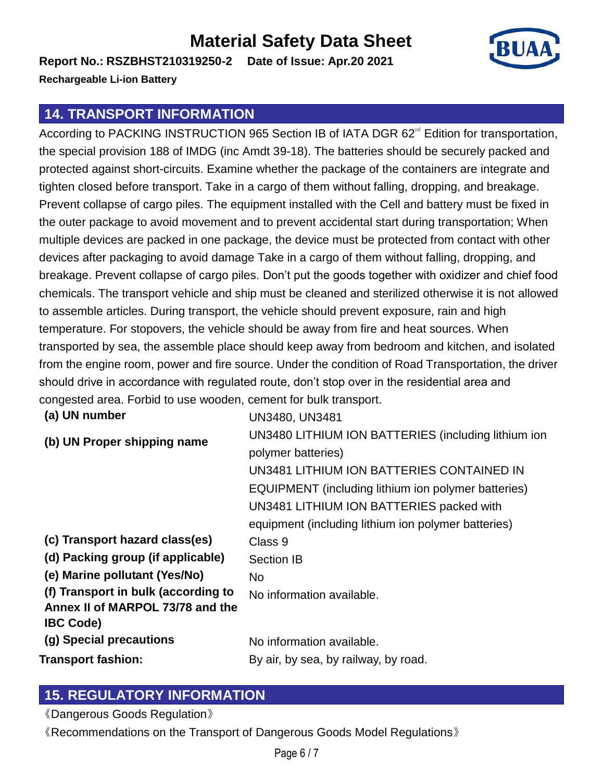**Report No.: RSZBHST210319250-2 Date of Issue: Apr.20 2021 Rechargeable Li-ion Battery**

#### **14. TRANSPORT INFORMATION**

According to PACKING INSTRUCTION 965 Section IB of IATA DGR 62<sup>nd</sup> Edition for transportation, the special provision 188 of IMDG (inc Amdt 39-18). The batteries should be securely packed and protected against short-circuits. Examine whether the package of the containers are integrate and tighten closed before transport. Take in a cargo of them without falling, dropping, and breakage. Prevent collapse of cargo piles. The equipment installed with the Cell and battery must be fixed in the outer package to avoid movement and to prevent accidental start during transportation; When multiple devices are packed in one package, the device must be protected from contact with other devices after packaging to avoid damage Take in a cargo of them without falling, dropping, and breakage. Prevent collapse of cargo piles. Don't put the goods together with oxidizer and chief food chemicals. The transport vehicle and ship must be cleaned and sterilized otherwise it is not allowed to assemble articles. During transport, the vehicle should prevent exposure, rain and high temperature. For stopovers, the vehicle should be away from fire and heat sources. When transported by sea, the assemble place should keep away from bedroom and kitchen, and isolated from the engine room, power and fire source. Under the condition of Road Transportation, the driver should drive in accordance with regulated route, don't stop over in the residential area and congested area. Forbid to use wooden, cement for bulk transport.

| (a) UN number                       | UN3480, UN3481                                      |
|-------------------------------------|-----------------------------------------------------|
| (b) UN Proper shipping name         | UN3480 LITHIUM ION BATTERIES (including lithium ion |
|                                     | polymer batteries)                                  |
|                                     | UN3481 LITHIUM ION BATTERIES CONTAINED IN           |
|                                     | EQUIPMENT (including lithium ion polymer batteries) |
|                                     | UN3481 LITHIUM ION BATTERIES packed with            |
|                                     | equipment (including lithium ion polymer batteries) |
| (c) Transport hazard class(es)      | Class 9                                             |
| (d) Packing group (if applicable)   | <b>Section IB</b>                                   |
| (e) Marine pollutant (Yes/No)       | No.                                                 |
| (f) Transport in bulk (according to | No information available.                           |
| Annex II of MARPOL 73/78 and the    |                                                     |
| <b>IBC Code)</b>                    |                                                     |
| (g) Special precautions             | No information available.                           |
| Transport fashion:                  | By air, by sea, by railway, by road.                |

#### **15. REGULATORY INFORMATION**

《Dangerous Goods Regulation》

《Recommendations on the Transport of Dangerous Goods Model Regulations》